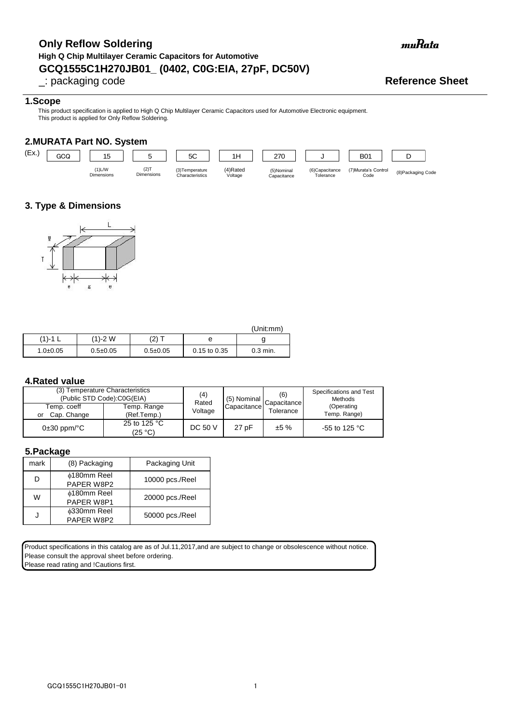# **GCQ1555C1H270JB01\_ (0402, C0G:EIA, 27pF, DC50V) Only Reflow Soldering High Q Chip Multilayer Ceramic Capacitors for Automotive**

\_: packaging code **Reference Sheet**

### **1.Scope**

This product specification is applied to High Q Chip Multilayer Ceramic Capacitors used for Automotive Electronic equipment. This product is applied for Only Reflow Soldering.

## **2.MURATA Part NO. System**



# **3. Type & Dimensions**



|              |                |                |              | (Unit:mm)  |
|--------------|----------------|----------------|--------------|------------|
| (1)-1        | (1)-2 W        | (2) T          | е            |            |
| $1.0 + 0.05$ | $0.5 \pm 0.05$ | $0.5 \pm 0.05$ | 0.15 to 0.35 | $0.3$ min. |

### **4.Rated value**

| (3) Temperature Characteristics<br>(Public STD Code):C0G(EIA) | (4)<br>Rated               | (5) Nominal    | (6)<br>Capacitance I | Specifications and Test<br>Methods |                            |
|---------------------------------------------------------------|----------------------------|----------------|----------------------|------------------------------------|----------------------------|
| Temp. coeff<br>Cap. Change<br>or                              | Temp. Range<br>(Ref.Temp.) | Voltage        | Capacitance          | Tolerance                          | (Operating<br>Temp. Range) |
| $0\pm 30$ ppm/ $^{\circ}$ C                                   | 25 to 125 °C<br>(25 °C)    | <b>DC 50 V</b> | 27 pF                | ±5%                                | -55 to 125 $^{\circ}$ C    |

#### **5.Package**

| mark | (8) Packaging                    | Packaging Unit  |
|------|----------------------------------|-----------------|
| D    | ⊕180mm Reel<br>PAPER W8P2        | 10000 pcs./Reel |
| w    | <b>¢180mm Reel</b><br>PAPER W8P1 | 20000 pcs./Reel |
|      | <b>¢330mm Reel</b><br>PAPER W8P2 | 50000 pcs./Reel |

Product specifications in this catalog are as of Jul.11,2017,and are subject to change or obsolescence without notice. Please consult the approval sheet before ordering.

Please read rating and !Cautions first.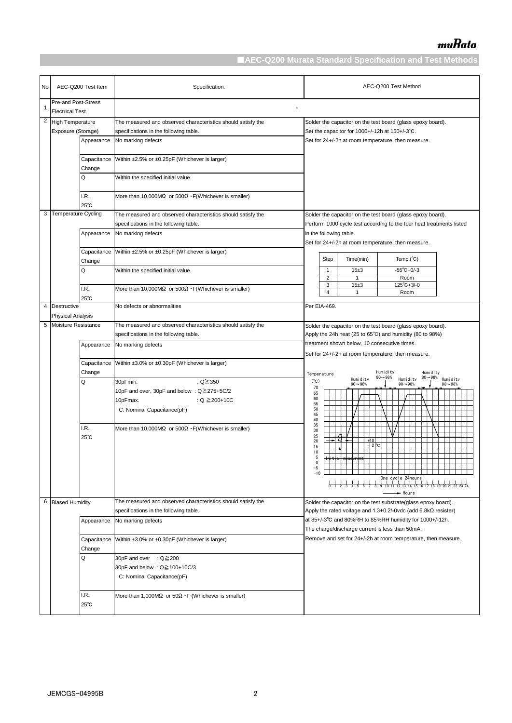|                | AEC-Q200 Test Item<br>No                                               |                        | Specification.                                                                                                                         | AEC-Q200 Test Method                                                                                                                                       |  |  |  |
|----------------|------------------------------------------------------------------------|------------------------|----------------------------------------------------------------------------------------------------------------------------------------|------------------------------------------------------------------------------------------------------------------------------------------------------------|--|--|--|
| 1              | Pre-and Post-Stress<br><b>Electrical Test</b>                          |                        |                                                                                                                                        |                                                                                                                                                            |  |  |  |
|                | 2<br><b>High Temperature</b><br>Exposure (Storage)                     |                        | The measured and observed characteristics should satisfy the<br>specifications in the following table.                                 | Solder the capacitor on the test board (glass epoxy board).<br>Set the capacitor for 1000+/-12h at 150+/-3°C.                                              |  |  |  |
|                | Appearance                                                             |                        | No marking defects                                                                                                                     | Set for 24+/-2h at room temperature, then measure.                                                                                                         |  |  |  |
|                |                                                                        | Capacitance<br>Change  | Within ±2.5% or ±0.25pF (Whichever is larger)                                                                                          |                                                                                                                                                            |  |  |  |
|                | Q                                                                      |                        | Within the specified initial value.                                                                                                    |                                                                                                                                                            |  |  |  |
|                |                                                                        | I.R.<br>$25^{\circ}$ C | More than 10,000M $\Omega$ or 500 $\Omega$ · F(Whichever is smaller)                                                                   |                                                                                                                                                            |  |  |  |
|                | <b>Temperature Cycling</b><br>3<br>Appearance<br>Capacitance<br>Change |                        | The measured and observed characteristics should satisfy the<br>specifications in the following table.                                 | Solder the capacitor on the test board (glass epoxy board).<br>Perform 1000 cycle test according to the four heat treatments listed                        |  |  |  |
|                |                                                                        |                        | No marking defects                                                                                                                     | in the following table.<br>Set for 24+/-2h at room temperature, then measure.                                                                              |  |  |  |
|                |                                                                        |                        | Within ±2.5% or ±0.25pF (Whichever is larger)                                                                                          | Time(min)<br>Temp. $(^{\circ}C)$<br>Step                                                                                                                   |  |  |  |
|                | Q                                                                      |                        | Within the specified initial value.                                                                                                    | $-55^{\circ}$ C+0/-3<br>15±3<br>$\mathbf{1}$<br>$\overline{2}$<br>Room<br>1<br>15±3<br>$125^{\circ}C + 3/ -0$<br>3                                         |  |  |  |
|                | I.R.<br>$25^{\circ}$ C                                                 |                        | More than 10,000M $\Omega$ or 500 $\Omega$ · F(Whichever is smaller)                                                                   | $\overline{4}$<br>Room<br>-1                                                                                                                               |  |  |  |
| $\overline{4}$ | <b>Destructive</b><br><b>Physical Analysis</b>                         |                        | No defects or abnormalities                                                                                                            | Per EIA-469.                                                                                                                                               |  |  |  |
| 5              | Moisture Resistance                                                    |                        | The measured and observed characteristics should satisfy the                                                                           | Solder the capacitor on the test board (glass epoxy board).                                                                                                |  |  |  |
|                | Appearance                                                             |                        | specifications in the following table.<br>No marking defects                                                                           | Apply the 24h heat (25 to 65 $\degree$ C) and humidity (80 to 98%)<br>treatment shown below, 10 consecutive times.                                         |  |  |  |
|                |                                                                        |                        |                                                                                                                                        | Set for 24+/-2h at room temperature, then measure.                                                                                                         |  |  |  |
|                |                                                                        | Capacitance<br>Change  | Within ±3.0% or ±0.30pF (Whichever is larger)                                                                                          | Humidity<br>Humidity<br>Temperature                                                                                                                        |  |  |  |
|                | Q                                                                      |                        | : $Q \ge 350$<br>30pFmin.<br>10pF and over, 30pF and below : Q≧275+5C/2<br>10pFmax.<br>: $Q \ge 200+10C$<br>C: Nominal Capacitance(pF) | $80 - 98%$<br>80~98% Humidity<br>Humidity<br>Humidity<br>$(^{\circ}C)$<br>$90 - 98%$<br>$90 - 98%$<br>$90 - 98%$<br>70<br>65<br>60<br>55<br>50<br>45<br>40 |  |  |  |
|                |                                                                        | I.R.<br>$25^{\circ}$ C | More than 10,000ΜΩ or 500Ω $\cdot$ F(Whichever is smaller)                                                                             | 35<br>30<br>25<br>+10<br>20<br>$-12$ $\degree$ C<br>15<br>10<br>$\mathbf{5}$<br>0<br>-5<br>$-10$<br>► Hours                                                |  |  |  |
| 6              | <b>Biased Humidity</b>                                                 |                        | The measured and observed characteristics should satisfy the<br>specifications in the following table.                                 | Solder the capacitor on the test substrate(glass epoxy board).<br>Apply the rated voltage and $1.3+0.2/-0$ vdc (add $6.8k$ resister)                       |  |  |  |
|                |                                                                        | Appearance             | No marking defects                                                                                                                     | at 85+/-3°C and 80%RH to 85%RH humidity for 1000+/-12h.<br>The charge/discharge current is less than 50mA.                                                 |  |  |  |
|                |                                                                        | Capacitance<br>Change  | Within ±3.0% or ±0.30pF (Whichever is larger)                                                                                          | Remove and set for 24+/-2h at room temperature, then measure.                                                                                              |  |  |  |
|                |                                                                        | Q                      | 30pF and over : Q≧200<br>30pF and below : Q≧100+10C/3<br>C: Nominal Capacitance(pF)                                                    |                                                                                                                                                            |  |  |  |
|                | I.R.<br>$25^{\circ}$ C                                                 |                        | More than 1,000MΩ or $50\Omega \cdot F$ (Whichever is smaller)                                                                         |                                                                                                                                                            |  |  |  |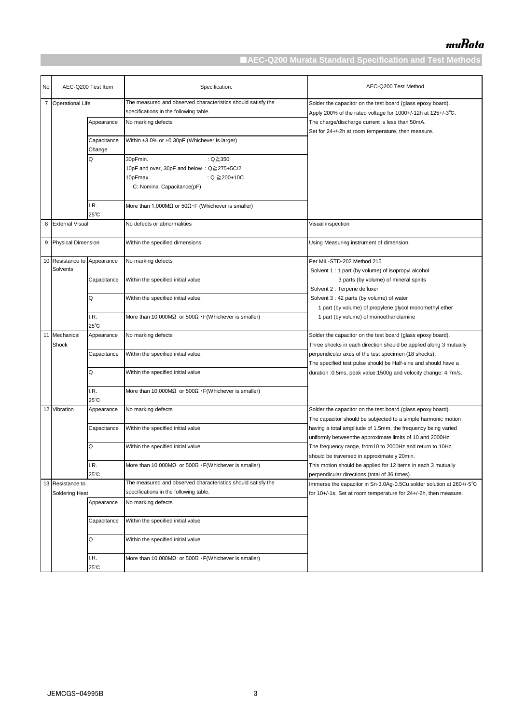| No | AEC-Q200 Test Item   |                       | Specification.                                                       | AEC-Q200 Test Method                                                                                         |
|----|----------------------|-----------------------|----------------------------------------------------------------------|--------------------------------------------------------------------------------------------------------------|
|    | 7 Operational Life   |                       | The measured and observed characteristics should satisfy the         | Solder the capacitor on the test board (glass epoxy board).                                                  |
|    |                      |                       | specifications in the following table.                               | Apply 200% of the rated voltage for 1000+/-12h at 125+/-3°C.                                                 |
|    |                      | Appearance            | No marking defects                                                   | The charge/discharge current is less than 50mA.                                                              |
|    |                      |                       |                                                                      | Set for 24+/-2h at room temperature, then measure.                                                           |
|    |                      | Capacitance<br>Change | Within ±3.0% or ±0.30pF (Whichever is larger)                        |                                                                                                              |
|    |                      | Q                     | 30pFmin.<br>: $Q \ge 350$                                            |                                                                                                              |
|    |                      |                       | 10pF and over, 30pF and below: Q≧275+5C/2                            |                                                                                                              |
|    |                      |                       | 10pFmax.<br>: $Q \ge 200 + 10C$                                      |                                                                                                              |
|    |                      |                       | C: Nominal Capacitance(pF)                                           |                                                                                                              |
|    |                      |                       |                                                                      |                                                                                                              |
|    |                      | I.R.                  | More than 1,000MΩ or $50Ω \cdot F$ (Whichever is smaller)            |                                                                                                              |
|    |                      | $25^{\circ}$ C        |                                                                      |                                                                                                              |
|    | 8 External Visual    |                       | No defects or abnormalities                                          | Visual inspection                                                                                            |
|    | 9 Physical Dimension |                       | Within the specified dimensions                                      | Using Measuring instrument of dimension.                                                                     |
|    | 10 Resistance to     | Appearance            | No marking defects                                                   | Per MIL-STD-202 Method 215                                                                                   |
|    | Solvents             |                       |                                                                      | Solvent 1 : 1 part (by volume) of isopropyl alcohol                                                          |
|    |                      | Capacitance           | Within the specified initial value.                                  | 3 parts (by volume) of mineral spirits                                                                       |
|    |                      |                       |                                                                      | Solvent 2 : Terpene defluxer                                                                                 |
|    |                      | Q                     | Within the specified initial value.                                  | Solvent 3 : 42 parts (by volume) of water                                                                    |
|    |                      | I.R.                  |                                                                      | 1 part (by volume) of propylene glycol monomethyl ether                                                      |
|    |                      | 25°C                  | More than 10,000M $\Omega$ or 500 $\Omega$ · F(Whichever is smaller) | 1 part (by volume) of monoethanolamine                                                                       |
|    | 11 Mechanical        | Appearance            | No marking defects                                                   | Solder the capacitor on the test board (glass epoxy board).                                                  |
|    | Shock                |                       |                                                                      | Three shocks in each direction should be applied along 3 mutually                                            |
|    |                      | Capacitance           | Within the specified initial value.                                  | perpendicular axes of the test specimen (18 shocks).                                                         |
|    |                      |                       |                                                                      | The specified test pulse should be Half-sine and should have a                                               |
|    |                      | Q                     | Within the specified initial value.                                  | duration : 0.5ms, peak value: 1500g and velocity change: 4.7m/s.                                             |
|    |                      | I.R.                  | More than 10,000ΜΩ or 500Ω $\cdot$ F(Whichever is smaller)           |                                                                                                              |
|    |                      | $25^{\circ}$ C        |                                                                      |                                                                                                              |
|    | 12 Vibration         | Appearance            | No marking defects                                                   | Solder the capacitor on the test board (glass epoxy board).                                                  |
|    |                      |                       |                                                                      | The capacitor should be subjected to a simple harmonic motion                                                |
|    |                      | Capacitance           | Within the specified initial value.                                  | having a total amplitude of 1.5mm, the frequency being varied                                                |
|    |                      |                       |                                                                      | uniformly betweenthe approximate limits of 10 and 2000Hz.                                                    |
|    |                      | Q                     | Within the specified initial value.                                  | The frequency range, from10 to 2000Hz and return to 10Hz,                                                    |
|    |                      | I.R.                  | More than 10,000M $\Omega$ or 500 $\Omega$ · F(Whichever is smaller) | should be traversed in approximately 20min.<br>This motion should be applied for 12 items in each 3 mutually |
|    |                      | 25°C                  |                                                                      | perpendicular directions (total of 36 times).                                                                |
|    | 13 Resistance to     |                       | The measured and observed characteristics should satisfy the         | Immerse the capacitor in Sn-3.0Ag-0.5Cu solder solution at 260+/-5°C                                         |
|    | Soldering Heat       |                       | specifications in the following table.                               | for 10+/-1s. Set at room temperature for 24+/-2h, then measure.                                              |
|    |                      | Appearance            | No marking defects                                                   |                                                                                                              |
|    |                      | Capacitance           | Within the specified initial value.                                  |                                                                                                              |
|    |                      | Q                     | Within the specified initial value.                                  |                                                                                                              |
|    |                      | I.R.                  | More than 10,000M $\Omega$ or 500 $\Omega$ · F(Whichever is smaller) |                                                                                                              |
|    |                      | 25°C                  |                                                                      |                                                                                                              |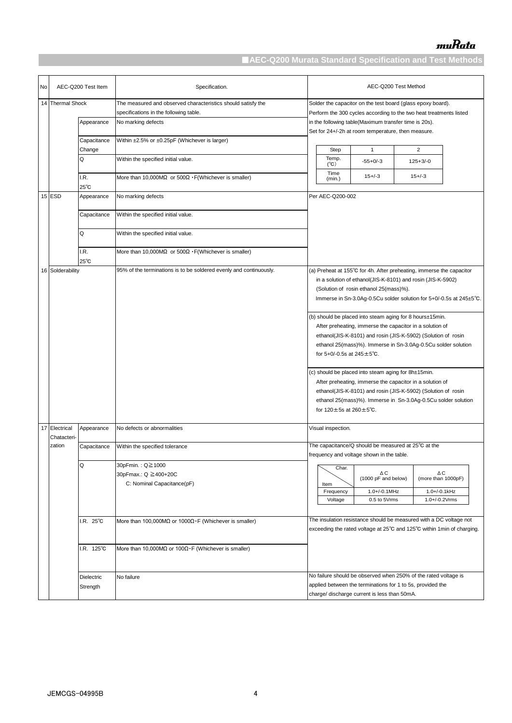| No | AEC-Q200 Test Item             |                            | Specification.                                                                                                               | AEC-Q200 Test Method                                                                                                                                                                                                                                                                              |  |  |  |
|----|--------------------------------|----------------------------|------------------------------------------------------------------------------------------------------------------------------|---------------------------------------------------------------------------------------------------------------------------------------------------------------------------------------------------------------------------------------------------------------------------------------------------|--|--|--|
|    | 14 Thermal Shock<br>Appearance |                            | The measured and observed characteristics should satisfy the<br>specifications in the following table.<br>No marking defects | Solder the capacitor on the test board (glass epoxy board).<br>Perform the 300 cycles according to the two heat treatments listed<br>in the following table(Maximum transfer time is 20s).                                                                                                        |  |  |  |
|    |                                | Capacitance<br>Change<br>Q | Within ±2.5% or ±0.25pF (Whichever is larger)<br>Within the specified initial value.                                         | Set for 24+/-2h at room temperature, then measure.<br>Step<br>$\mathbf{1}$<br>$\overline{2}$<br>Temp.<br>$-55+0/-3$<br>$125 + 3/-0$                                                                                                                                                               |  |  |  |
|    |                                | I.R.<br>25°C               | More than 10,000ΜΩ or $500Ω \cdot F(Whitever is smaller)$                                                                    | (C)<br>Time<br>$15 + (-3)$<br>$15 + (-3)$<br>(min.)                                                                                                                                                                                                                                               |  |  |  |
|    | 15 ESD                         | Appearance                 | No marking defects                                                                                                           | Per AEC-Q200-002                                                                                                                                                                                                                                                                                  |  |  |  |
|    |                                | Capacitance                | Within the specified initial value.                                                                                          |                                                                                                                                                                                                                                                                                                   |  |  |  |
|    |                                | Q                          | Within the specified initial value.                                                                                          |                                                                                                                                                                                                                                                                                                   |  |  |  |
|    |                                | I.R.<br>$25^{\circ}$ C     | More than 10,000M $\Omega$ or 500 $\Omega$ · F(Whichever is smaller)                                                         |                                                                                                                                                                                                                                                                                                   |  |  |  |
|    | 16 Solderability               |                            | 95% of the terminations is to be soldered evenly and continuously.                                                           | (a) Preheat at 155°C for 4h. After preheating, immerse the capacitor<br>in a solution of ethanol(JIS-K-8101) and rosin (JIS-K-5902)<br>(Solution of rosin ethanol 25(mass)%).<br>Immerse in Sn-3.0Ag-0.5Cu solder solution for 5+0/-0.5s at 245±5°C.                                              |  |  |  |
|    |                                |                            |                                                                                                                              | (b) should be placed into steam aging for 8 hours±15min.<br>After preheating, immerse the capacitor in a solution of<br>ethanol(JIS-K-8101) and rosin (JIS-K-5902) (Solution of rosin<br>ethanol 25(mass)%). Immerse in Sn-3.0Ag-0.5Cu solder solution<br>for 5+0/-0.5s at $245 \pm 5^{\circ}$ C. |  |  |  |
|    |                                |                            |                                                                                                                              | (c) should be placed into steam aging for 8h±15min.<br>After preheating, immerse the capacitor in a solution of<br>ethanol(JIS-K-8101) and rosin (JIS-K-5902) (Solution of rosin<br>ethanol 25(mass)%). Immerse in Sn-3.0Ag-0.5Cu solder solution<br>for $120 \pm 5s$ at $260 \pm 5^{\circ}$ C.   |  |  |  |
|    | 17 Electrical<br>Chatacteri-   | Appearance                 | No defects or abnormalities                                                                                                  | Visual inspection.                                                                                                                                                                                                                                                                                |  |  |  |
|    | zation                         | Capacitance                | Within the specified tolerance                                                                                               | The capacitance/Q should be measured at 25°C at the<br>frequency and voltage shown in the table.                                                                                                                                                                                                  |  |  |  |
|    |                                | Q                          | 30pFmin.: Q≧1000<br>30pFmax.: Q ≧400+20C<br>C: Nominal Capacitance(pF)                                                       | Char.<br>ΔC<br>ΔC<br>(1000 pF and below)<br>(more than 1000pF)<br>Item<br>1.0+/-0.1MHz<br>1.0+/-0.1kHz<br>Frequency<br>0.5 to 5Vrms<br>1.0+/-0.2Vrms<br>Voltage                                                                                                                                   |  |  |  |
|    |                                | $R. 25^{\circ}$ C          | More than 100,000ΜΩ or 1000Ω · F (Whichever is smaller)                                                                      | The insulation resistance should be measured with a DC voltage not<br>exceeding the rated voltage at 25°C and 125°C within 1min of charging.                                                                                                                                                      |  |  |  |
|    |                                | I.R. 125°C                 | More than 10,000M $\Omega$ or 100 $\Omega \cdot F$ (Whichever is smaller)                                                    |                                                                                                                                                                                                                                                                                                   |  |  |  |
|    |                                | Dielectric<br>Strength     | No failure                                                                                                                   | No failure should be observed when 250% of the rated voltage is<br>applied between the terminations for 1 to 5s, provided the<br>charge/ discharge current is less than 50mA.                                                                                                                     |  |  |  |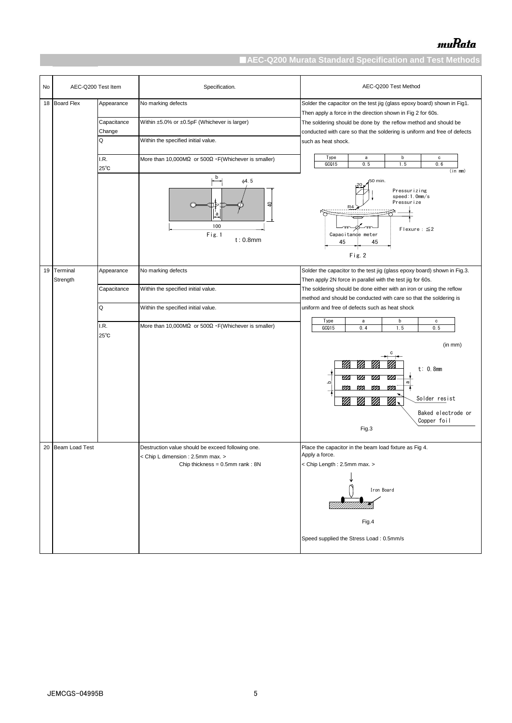| No | AEC-Q200 Test Item   |                        | Specification.                                                                                                                 | AEC-Q200 Test Method                                                                                                                        |  |  |
|----|----------------------|------------------------|--------------------------------------------------------------------------------------------------------------------------------|---------------------------------------------------------------------------------------------------------------------------------------------|--|--|
| 18 | <b>Board Flex</b>    | Appearance             | No marking defects                                                                                                             | Solder the capacitor on the test jig (glass epoxy board) shown in Fig1.<br>Then apply a force in the direction shown in Fig 2 for 60s.      |  |  |
|    |                      | Capacitance<br>Change  | Within ±5.0% or ±0.5pF (Whichever is larger)                                                                                   | The soldering should be done by the reflow method and should be<br>conducted with care so that the soldering is uniform and free of defects |  |  |
|    |                      | Q                      | Within the specified initial value.                                                                                            | such as heat shock.                                                                                                                         |  |  |
|    |                      | I.R.<br>$25^{\circ}$ C | More than 10,000ΜΩ or $500Ω \cdot F(Whitever is smaller)$                                                                      | Type<br>b<br>a<br>c<br>GCQ15<br>0.6<br>0.5<br>1.5<br>$(in \, mm)$                                                                           |  |  |
|    |                      |                        | b<br>$\phi$ 4.5<br>₽<br>$^a$<br>100<br>Fig. 1<br>$t: 0.8$ mm                                                                   | 50 min.<br>Pressurizing<br>speed:1.0mm/s<br>Pressurize<br>R4<br>Flexure: $\leq$ 2<br>Capacitance meter<br>45<br>45                          |  |  |
|    |                      |                        |                                                                                                                                | Fig. 2                                                                                                                                      |  |  |
| 19 | Terminal<br>Strength | Appearance             | No marking defects                                                                                                             | Solder the capacitor to the test jig (glass epoxy board) shown in Fig.3.<br>Then apply 2N force in parallel with the test jig for 60s.      |  |  |
|    |                      | Capacitance            | Within the specified initial value.                                                                                            | The soldering should be done either with an iron or using the reflow                                                                        |  |  |
|    |                      | Q                      | Within the specified initial value.                                                                                            | method and should be conducted with care so that the soldering is<br>uniform and free of defects such as heat shock                         |  |  |
|    |                      | I.R.<br>$25^{\circ}$ C | More than 10,000MΩ or $500Ω \cdot F(Whitever is smaller)$                                                                      | Type<br>b<br>a<br>c<br>GCQ15<br>0.4<br>1.5<br>0.5                                                                                           |  |  |
|    |                      |                        |                                                                                                                                | (in mm)                                                                                                                                     |  |  |
|    |                      |                        |                                                                                                                                | t: 0.8mm<br>m<br>m<br>Ø<br>Ø<br>≏<br>m<br>m<br>m<br>m<br>Solder resist<br>V)<br>M<br>m<br>Baked electrode or<br>Copper foil<br>Fig.3        |  |  |
|    |                      |                        |                                                                                                                                |                                                                                                                                             |  |  |
| 20 | Beam Load Test       |                        | Destruction value should be exceed following one.<br>< Chip L dimension : 2.5mm max. ><br>Chip thickness = $0.5$ mm rank: $8N$ | Place the capacitor in the beam load fixture as Fig 4.<br>Apply a force.<br>< Chip Length: 2.5mm max. >                                     |  |  |
|    |                      |                        |                                                                                                                                | Iron Board                                                                                                                                  |  |  |
|    |                      |                        |                                                                                                                                | Fig.4<br>Speed supplied the Stress Load: 0.5mm/s                                                                                            |  |  |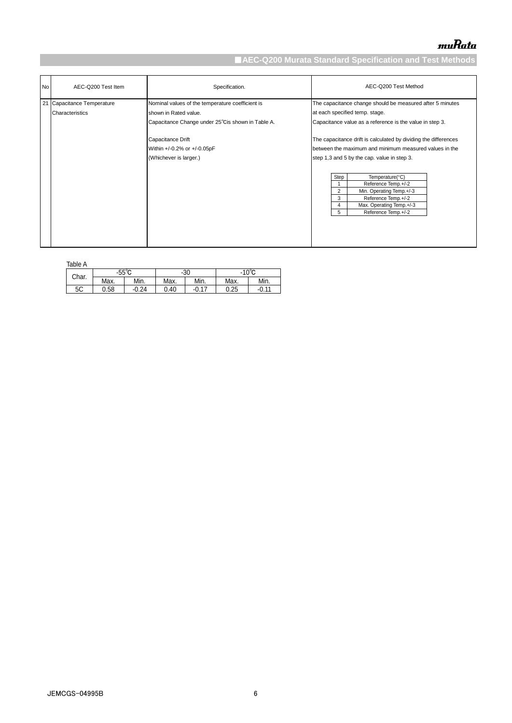| No | AEC-Q200 Test Item                            | Specification.                                                                                                                                                                                               | AEC-Q200 Test Method                                                                                                                                                                                                                                                                                                                                                                                                                                                                                            |
|----|-----------------------------------------------|--------------------------------------------------------------------------------------------------------------------------------------------------------------------------------------------------------------|-----------------------------------------------------------------------------------------------------------------------------------------------------------------------------------------------------------------------------------------------------------------------------------------------------------------------------------------------------------------------------------------------------------------------------------------------------------------------------------------------------------------|
|    | 21 Capacitance Temperature<br>Characteristics | Nominal values of the temperature coefficient is<br>shown in Rated value.<br>Capacitance Change under 25°Cis shown in Table A.<br>Capacitance Drift<br>Within +/-0.2% or +/-0.05pF<br>(Whichever is larger.) | The capacitance change should be measured after 5 minutes<br>at each specified temp. stage.<br>Capacitance value as a reference is the value in step 3.<br>The capacitance drift is calculated by dividing the differences<br>between the maximum and minimum measured values in the<br>step 1,3 and 5 by the cap. value in step 3.<br>Step<br>Temperature(°C)<br>Reference Temp.+/-2<br>2<br>Min. Operating Temp.+/-3<br>Reference Temp.+/-2<br>3<br>Max. Operating Temp.+/-3<br>4<br>5<br>Reference Temp.+/-2 |
|    |                                               |                                                                                                                                                                                                              |                                                                                                                                                                                                                                                                                                                                                                                                                                                                                                                 |

| яn<br>c<br>ı<br>7 |  |
|-------------------|--|

| TAULT H |       |         |       |           |                 |      |  |  |
|---------|-------|---------|-------|-----------|-----------------|------|--|--|
| Char.   | -55°∩ |         | $-30$ |           | $-10^{\circ}$ C |      |  |  |
|         | Max.  | Min.    | Max.  | Min.      | Max.            | Min. |  |  |
| 5C      | 0.58  | $-0.24$ | 0.40. | 17<br>-0. | 0.25            | 0.11 |  |  |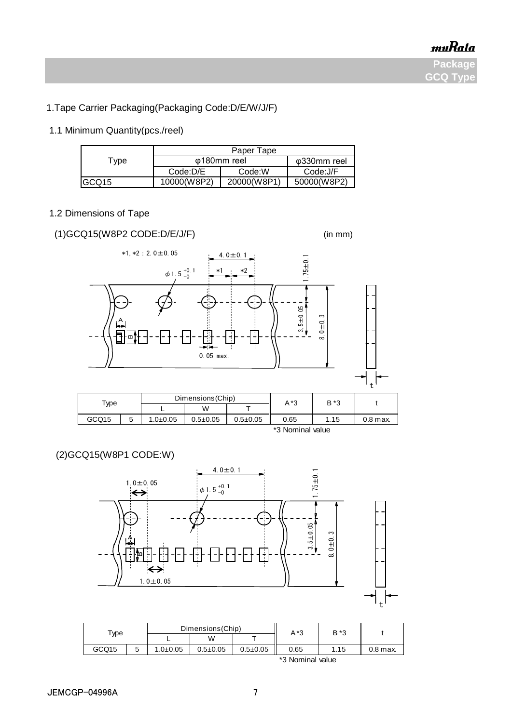<u>muRata</u>

**Package GCQ Type**

# 1.Tape Carrier Packaging(Packaging Code:D/E/W/J/F)

# 1.1 Minimum Quantity(pcs./reel)

|                   | Paper Tape               |             |             |  |  |
|-------------------|--------------------------|-------------|-------------|--|--|
| Type              | ω180mm reel              | φ330mm reel |             |  |  |
|                   | Code:D/E                 | Code:W      | Code:J/F    |  |  |
| GCQ <sub>15</sub> | 10000(W8P <sub>2</sub> ) | 20000(W8P1) | 50000(W8P2) |  |  |

# 1.2 Dimensions of Tape

# (1)GCQ15(W8P2 CODE:D/E/J/F) (in mm)





\*3 Nominal value

# (2)GCQ15(W8P1 CODE:W)



| туре  |        | Dimensions (Chip) |                |                | A*3  | B *3 |          |
|-------|--------|-------------------|----------------|----------------|------|------|----------|
|       |        | -                 | W              |                |      |      |          |
| GCQ15 | д<br>ບ | $1.0 + 0.05$      | $0.5 \pm 0.05$ | $0.5 \pm 0.05$ | 0.65 | 1.15 | 0.8 max. |
|       |        | *3 Nominal value  |                |                |      |      |          |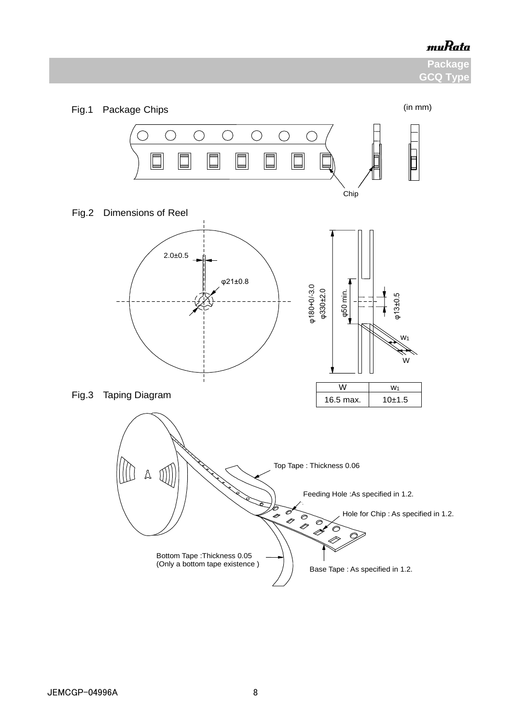**Package GCQ Type** 

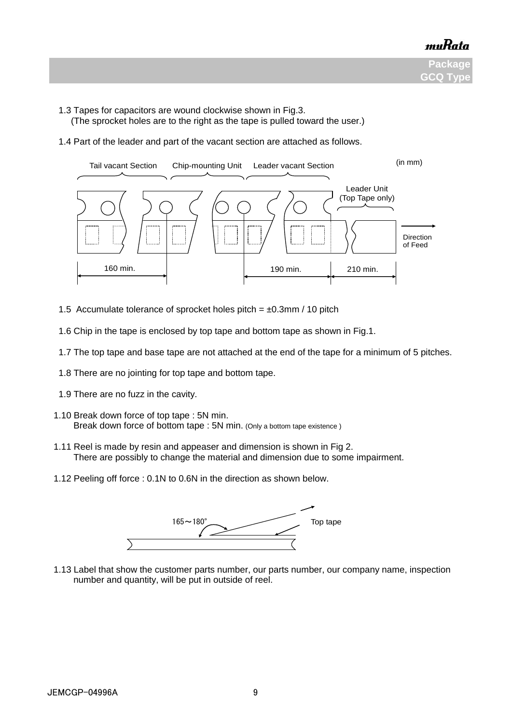

- 1.3 Tapes for capacitors are wound clockwise shown in Fig.3.
	- (The sprocket holes are to the right as the tape is pulled toward the user.)
- 1.4 Part of the leader and part of the vacant section are attached as follows.



- 1.5 Accumulate tolerance of sprocket holes pitch =  $\pm 0.3$ mm / 10 pitch
- 1.6 Chip in the tape is enclosed by top tape and bottom tape as shown in Fig.1.
- 1.7 The top tape and base tape are not attached at the end of the tape for a minimum of 5 pitches.
- 1.8 There are no jointing for top tape and bottom tape.
- 1.9 There are no fuzz in the cavity.
- 1.10 Break down force of top tape : 5N min. Break down force of bottom tape : 5N min. (Only a bottom tape existence )
- 1.11 Reel is made by resin and appeaser and dimension is shown in Fig 2. There are possibly to change the material and dimension due to some impairment.
	- 1.12 Peeling off force : 0.1N to 0.6N in the direction as shown below.



 1.13 Label that show the customer parts number, our parts number, our company name, inspection number and quantity, will be put in outside of reel.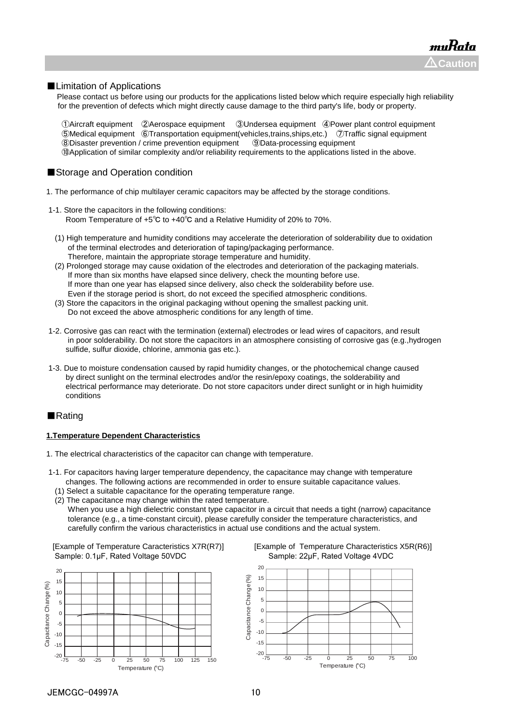#### ■Limitation of Applications

Please contact us before using our products for the applications listed below which require especially high reliability for the prevention of defects which might directly cause damage to the third party's life, body or property.

Aircraft equipment ②Aerospace equipment ③Undersea equipment ④Power plant control equipment Medical equipment ⑥Transportation equipment(vehicles,trains,ships,etc.) ⑦Traffic signal equipment Disaster prevention / crime prevention equipment ⑨Data-processing equipment ⑩Application of similar complexity and/or reliability requirements to the applications listed in the above.

### ■Storage and Operation condition

- 1. The performance of chip multilayer ceramic capacitors may be affected by the storage conditions.
- 1-1. Store the capacitors in the following conditions: Room Temperature of +5℃ to +40℃ and a Relative Humidity of 20% to 70%.
	- (1) High temperature and humidity conditions may accelerate the deterioration of solderability due to oxidation of the terminal electrodes and deterioration of taping/packaging performance. Therefore, maintain the appropriate storage temperature and humidity.
	- (2) Prolonged storage may cause oxidation of the electrodes and deterioration of the packaging materials. If more than six months have elapsed since delivery, check the mounting before use. If more than one year has elapsed since delivery, also check the solderability before use. Even if the storage period is short, do not exceed the specified atmospheric conditions.
	- (3) Store the capacitors in the original packaging without opening the smallest packing unit. Do not exceed the above atmospheric conditions for any length of time.
- 1-2. Corrosive gas can react with the termination (external) electrodes or lead wires of capacitors, and result in poor solderability. Do not store the capacitors in an atmosphere consisting of corrosive gas (e.g.,hydrogen sulfide, sulfur dioxide, chlorine, ammonia gas etc.).
- 1-3. Due to moisture condensation caused by rapid humidity changes, or the photochemical change caused by direct sunlight on the terminal electrodes and/or the resin/epoxy coatings, the solderability and electrical performance may deteriorate. Do not store capacitors under direct sunlight or in high huimidity conditions

#### ■Rating

#### **1.Temperature Dependent Characteristics**

- 1. The electrical characteristics of the capacitor can change with temperature.
- 1-1. For capacitors having larger temperature dependency, the capacitance may change with temperature changes. The following actions are recommended in order to ensure suitable capacitance values.
	- (1) Select a suitable capacitance for the operating temperature range.
	- (2) The capacitance may change within the rated temperature. When you use a high dielectric constant type capacitor in a circuit that needs a tight (narrow) capacitance tolerance (e.g., a time-constant circuit), please carefully consider the temperature characteristics, and carefully confirm the various characteristics in actual use conditions and the actual system.

Sample: 0.1μF, Rated Voltage 50VDC Sample: 22μF, Rated Voltage 4VDC





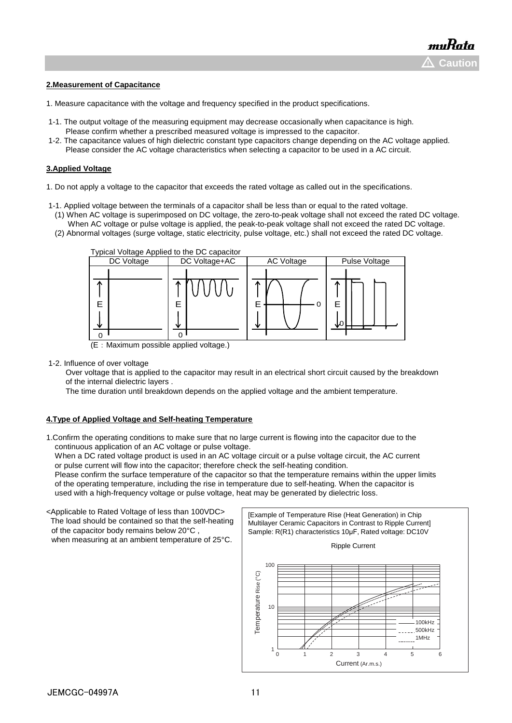#### **2.Measurement of Capacitance**

- 1. Measure capacitance with the voltage and frequency specified in the product specifications.
- 1-1. The output voltage of the measuring equipment may decrease occasionally when capacitance is high. Please confirm whether a prescribed measured voltage is impressed to the capacitor.
- 1-2. The capacitance values of high dielectric constant type capacitors change depending on the AC voltage applied. Please consider the AC voltage characteristics when selecting a capacitor to be used in a AC circuit.

#### **3.Applied Voltage**

- 1. Do not apply a voltage to the capacitor that exceeds the rated voltage as called out in the specifications.
- 1-1. Applied voltage between the terminals of a capacitor shall be less than or equal to the rated voltage.
	- (1) When AC voltage is superimposed on DC voltage, the zero-to-peak voltage shall not exceed the rated DC voltage. When AC voltage or pulse voltage is applied, the peak-to-peak voltage shall not exceed the rated DC voltage.
	- (2) Abnormal voltages (surge voltage, static electricity, pulse voltage, etc.) shall not exceed the rated DC voltage.



(E:Maximum possible applied voltage.)

1-2. Influence of over voltage

 Over voltage that is applied to the capacitor may result in an electrical short circuit caused by the breakdown of the internal dielectric layers .

The time duration until breakdown depends on the applied voltage and the ambient temperature.

#### **4.Type of Applied Voltage and Self-heating Temperature**

1.Confirm the operating conditions to make sure that no large current is flowing into the capacitor due to the continuous application of an AC voltage or pulse voltage.

When a DC rated voltage product is used in an AC voltage circuit or a pulse voltage circuit, the AC current or pulse current will flow into the capacitor; therefore check the self-heating condition.

 Please confirm the surface temperature of the capacitor so that the temperature remains within the upper limits of the operating temperature, including the rise in temperature due to self-heating. When the capacitor is used with a high-frequency voltage or pulse voltage, heat may be generated by dielectric loss.

<Applicable to Rated Voltage of less than 100VDC> The load should be contained so that the self-heating of the capacitor body remains below 20°C , when measuring at an ambient temperature of 25°C.

[Example of Temperature Rise (Heat Generation) in Chip Multilayer Ceramic Capacitors in Contrast to Ripple Current] Sample: R(R1) characteristics 10µF, Rated voltage: DC10V



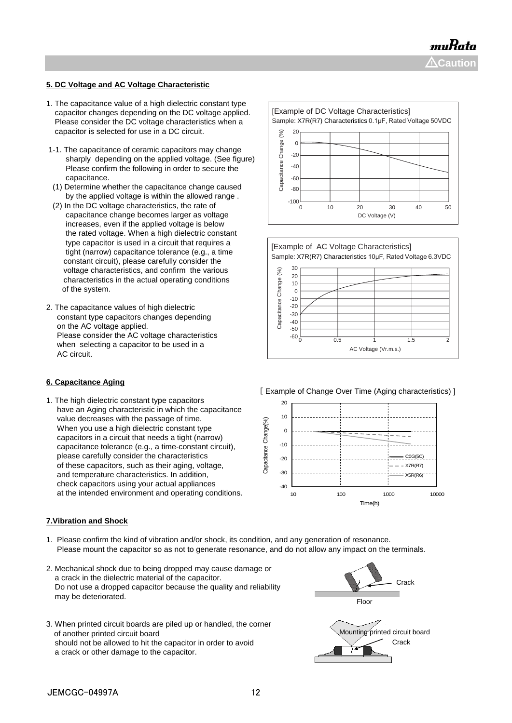muRata  $\Delta$ Caution

### **5. DC Voltage and AC Voltage Characteristic**

- 1. The capacitance value of a high dielectric constant type capacitor changes depending on the DC voltage applied. Please consider the DC voltage characteristics when a capacitor is selected for use in a DC circuit.
- 1-1. The capacitance of ceramic capacitors may change sharply depending on the applied voltage. (See figure) Please confirm the following in order to secure the capacitance.
- (1) Determine whether the capacitance change caused by the applied voltage is within the allowed range .
- (2) In the DC voltage characteristics, the rate of capacitance change becomes larger as voltage increases, even if the applied voltage is below the rated voltage. When a high dielectric constant type capacitor is used in a circuit that requires a tight (narrow) capacitance tolerance (e.g., a time constant circuit), please carefully consider the voltage characteristics, and confirm the various characteristics in the actual operating conditions of the system.
- 2. The capacitance values of high dielectric constant type capacitors changes depending on the AC voltage applied. Please consider the AC voltage characteristics when selecting a capacitor to be used in a AC circuit.

#### **6. Capacitance Aging**

1. The high dielectric constant type capacitors have an Aging characteristic in which the capacitance value decreases with the passage of time. When you use a high dielectric constant type capacitors in a circuit that needs a tight (narrow) capacitance tolerance (e.g., a time-constant circuit), please carefully consider the characteristics of these capacitors, such as their aging, voltage, and temperature characteristics. In addition, check capacitors using your actual appliances at the intended environment and operating conditions.

#### **7.Vibration and Shock**

- 1. Please confirm the kind of vibration and/or shock, its condition, and any generation of resonance. Please mount the capacitor so as not to generate resonance, and do not allow any impact on the terminals.
- 2. Mechanical shock due to being dropped may cause damage or a crack in the dielectric material of the capacitor. Do not use a dropped capacitor because the quality and reliability may be deteriorated.
- 3. When printed circuit boards are piled up or handled, the corner of another printed circuit board should not be allowed to hit the capacitor in order to avoid a crack or other damage to the capacitor.







[ Example of Change Over Time (Aging characteristics) ]



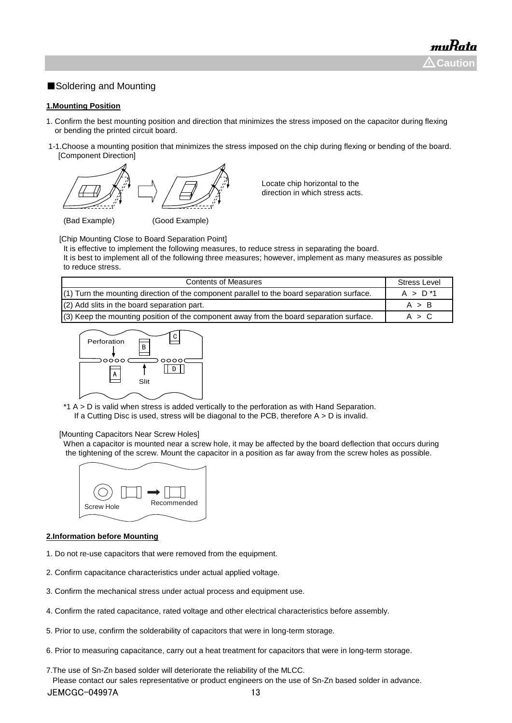### ■Soldering and Mounting

#### **1.Mounting Position**

- 1. Confirm the best mounting position and direction that minimizes the stress imposed on the capacitor during flexing or bending the printed circuit board.
- 1-1.Choose a mounting position that minimizes the stress imposed on the chip during flexing or bending of the board. [Component Direction]



Locate chip horizontal to the direction in which stress acts.

[Chip Mounting Close to Board Separation Point]

It is effective to implement the following measures, to reduce stress in separating the board.

It is best to implement all of the following three measures; however, implement as many measures as possible to reduce stress.

| <b>Contents of Measures</b>                                                                  | <b>Stress Level</b> |
|----------------------------------------------------------------------------------------------|---------------------|
| $(1)$ Turn the mounting direction of the component parallel to the board separation surface. | $A > D^*1$          |
| (2) Add slits in the board separation part.                                                  | A > B               |
| (3) Keep the mounting position of the component away from the board separation surface.      | A > C               |



\*1 A > D is valid when stress is added vertically to the perforation as with Hand Separation. If a Cutting Disc is used, stress will be diagonal to the PCB, therefore  $A > D$  is invalid.

#### [Mounting Capacitors Near Screw Holes]

When a capacitor is mounted near a screw hole, it may be affected by the board deflection that occurs during the tightening of the screw. Mount the capacitor in a position as far away from the screw holes as possible.



#### **2.Information before Mounting**

- 1. Do not re-use capacitors that were removed from the equipment.
- 2. Confirm capacitance characteristics under actual applied voltage.
- 3. Confirm the mechanical stress under actual process and equipment use.
- 4. Confirm the rated capacitance, rated voltage and other electrical characteristics before assembly.
- 5. Prior to use, confirm the solderability of capacitors that were in long-term storage.
- 6. Prior to measuring capacitance, carry out a heat treatment for capacitors that were in long-term storage.

7.The use of Sn-Zn based solder will deteriorate the reliability of the MLCC.

 Please contact our sales representative or product engineers on the use of Sn-Zn based solder in advance. JEMCGC-04997A 13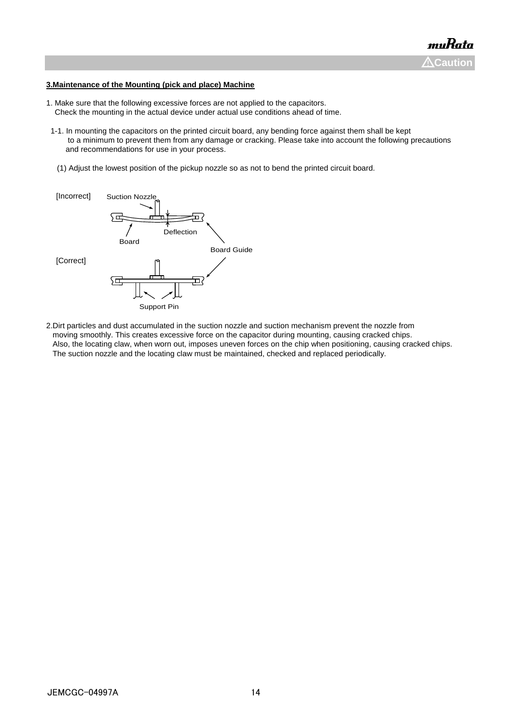#### **3.Maintenance of the Mounting (pick and place) Machine**

- 1. Make sure that the following excessive forces are not applied to the capacitors. Check the mounting in the actual device under actual use conditions ahead of time.
- 1-1. In mounting the capacitors on the printed circuit board, any bending force against them shall be kept to a minimum to prevent them from any damage or cracking. Please take into account the following precautions and recommendations for use in your process.
- (1) Adjust the lowest position of the pickup nozzle so as not to bend the printed circuit board.



2.Dirt particles and dust accumulated in the suction nozzle and suction mechanism prevent the nozzle from moving smoothly. This creates excessive force on the capacitor during mounting, causing cracked chips. Also, the locating claw, when worn out, imposes uneven forces on the chip when positioning, causing cracked chips. The suction nozzle and the locating claw must be maintained, checked and replaced periodically.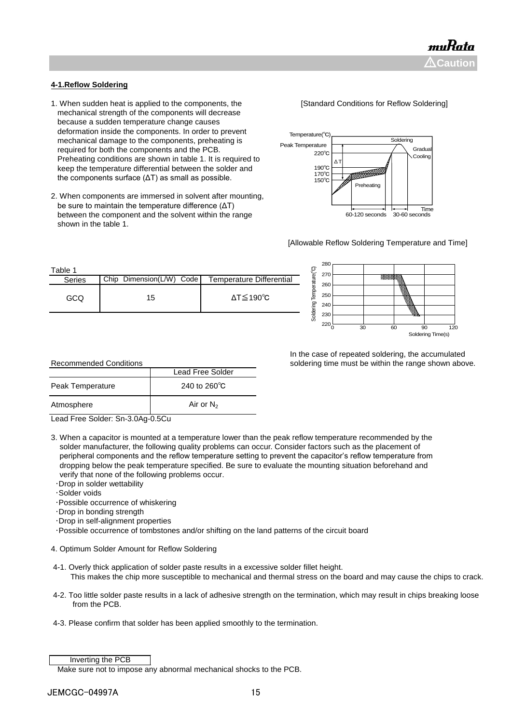#### **4-1.Reflow Soldering**

- 1. When sudden heat is applied to the components, the **[Standard Conditions for Reflow Soldering]**  mechanical strength of the components will decrease because a sudden temperature change causes deformation inside the components. In order to prevent mechanical damage to the components, preheating is required for both the components and the PCB. Preheating conditions are shown in table 1. It is required to keep the temperature differential between the solder and the components surface (ΔT) as small as possible.
- 2. When components are immersed in solvent after mounting, be sure to maintain the temperature difference (ΔT) between the component and the solvent within the range shown in the table 1.



#### [Allowable Reflow Soldering Temperature and Time]

| Table 1 |                          |                              |
|---------|--------------------------|------------------------------|
| Series  | Chip Dimension(L/W) Code | Temperature Differential     |
| GCQ     | 15                       | $\Delta T \leq 190^{\circ}C$ |



#### In the case of repeated soldering, the accumulated soldering time must be within the range shown above.

| <b>Recommended Conditions</b>                        |                        |  |  |  |
|------------------------------------------------------|------------------------|--|--|--|
|                                                      | Lead Free Solder       |  |  |  |
| <b>Peak Temperature</b>                              | 240 to $260^{\circ}$ C |  |  |  |
| Atmosphere                                           | Air or $N_2$           |  |  |  |
| $\overline{\phantom{0}}$<br>$\overline{\phantom{0}}$ |                        |  |  |  |

Lead Free Solder: Sn-3.0Ag-0.5Cu

3. When a capacitor is mounted at a temperature lower than the peak reflow temperature recommended by the solder manufacturer, the following quality problems can occur. Consider factors such as the placement of peripheral components and the reflow temperature setting to prevent the capacitor's reflow temperature from dropping below the peak temperature specified. Be sure to evaluate the mounting situation beforehand and verify that none of the following problems occur.

- ・Drop in solder wettability
- ・Solder voids
- ・Possible occurrence of whiskering
- ・Drop in bonding strength
- ・Drop in self-alignment properties
- ・Possible occurrence of tombstones and/or shifting on the land patterns of the circuit board
- 4. Optimum Solder Amount for Reflow Soldering
- 4-1. Overly thick application of solder paste results in a excessive solder fillet height. This makes the chip more susceptible to mechanical and thermal stress on the board and may cause the chips to crack.
- 4-2. Too little solder paste results in a lack of adhesive strength on the termination, which may result in chips breaking loose from the PCB.
- 4-3. Please confirm that solder has been applied smoothly to the termination.

Inverting the PCB

Make sure not to impose any abnormal mechanical shocks to the PCB.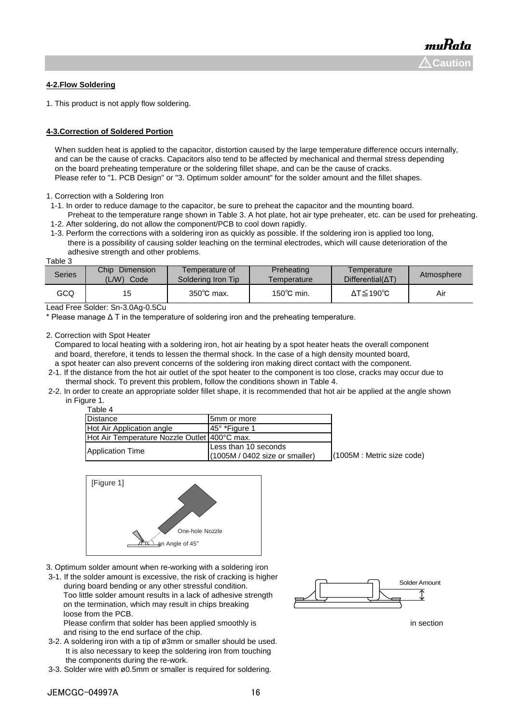#### **4-2.Flow Soldering**

1. This product is not apply flow soldering.

#### **4-3.Correction of Soldered Portion**

When sudden heat is applied to the capacitor, distortion caused by the large temperature difference occurs internally, and can be the cause of cracks. Capacitors also tend to be affected by mechanical and thermal stress depending on the board preheating temperature or the soldering fillet shape, and can be the cause of cracks. Please refer to "1. PCB Design" or "3. Optimum solder amount" for the solder amount and the fillet shapes.

1. Correction with a Soldering Iron

- 1-1. In order to reduce damage to the capacitor, be sure to preheat the capacitor and the mounting board.
- Preheat to the temperature range shown in Table 3. A hot plate, hot air type preheater, etc. can be used for preheating. 1-2. After soldering, do not allow the component/PCB to cool down rapidly.
- 1-3. Perform the corrections with a soldering iron as quickly as possible. If the soldering iron is applied too long, there is a possibility of causing solder leaching on the terminal electrodes, which will cause deterioration of the adhesive strength and other problems.

Table 3

| Series | Chip<br>Dimension<br>'L/W)<br>Code | Temperature of<br>Soldering Iron Tip | Preheating<br>Femperature | I emperature<br>$Differential(\Delta T)$ | Atmosphere |
|--------|------------------------------------|--------------------------------------|---------------------------|------------------------------------------|------------|
| GCQ    | 15                                 | $350^{\circ}$ C max.                 | $150^{\circ}$ C min.      | $\Delta T \leq 190^{\circ}C$             | Air        |

Lead Free Solder: Sn-3.0Ag-0.5Cu

\* Please manage Δ T in the temperature of soldering iron and the preheating temperature.

2. Correction with Spot Heater

Table 4

 Compared to local heating with a soldering iron, hot air heating by a spot heater heats the overall component and board, therefore, it tends to lessen the thermal shock. In the case of a high density mounted board, a spot heater can also prevent concerns of the soldering iron making direct contact with the component.

- 2-1. If the distance from the hot air outlet of the spot heater to the component is too close, cracks may occur due to thermal shock. To prevent this problem, follow the conditions shown in Table 4.
- 2-2. In order to create an appropriate solder fillet shape, it is recommended that hot air be applied at the angle shown in Figure 1.

| $1$ uviv $\tau$                              |                                                          |                               |
|----------------------------------------------|----------------------------------------------------------|-------------------------------|
| <b>Distance</b>                              | 5mm or more                                              |                               |
| Hot Air Application angle                    | <b>145° *Figure 1</b>                                    |                               |
| Hot Air Temperature Nozzle Outlet 400°C max. |                                                          |                               |
| Application Time                             | Less than 10 seconds<br>$(1005M / 0402$ size or smaller) | $(1005M)$ : Metric size code) |
|                                              |                                                          |                               |



- 3. Optimum solder amount when re-working with a soldering iron
- 3-1. If the solder amount is excessive, the risk of cracking is higher during board bending or any other stressful condition. Too little solder amount results in a lack of adhesive strength on the termination, which may result in chips breaking loose from the PCB.

Please confirm that solder has been applied smoothly is in section in section and rising to the end surface of the chip.

- 3-2. A soldering iron with a tip of ø3mm or smaller should be used. It is also necessary to keep the soldering iron from touching the components during the re-work.
- 3-3. Solder wire with ø0.5mm or smaller is required for soldering.

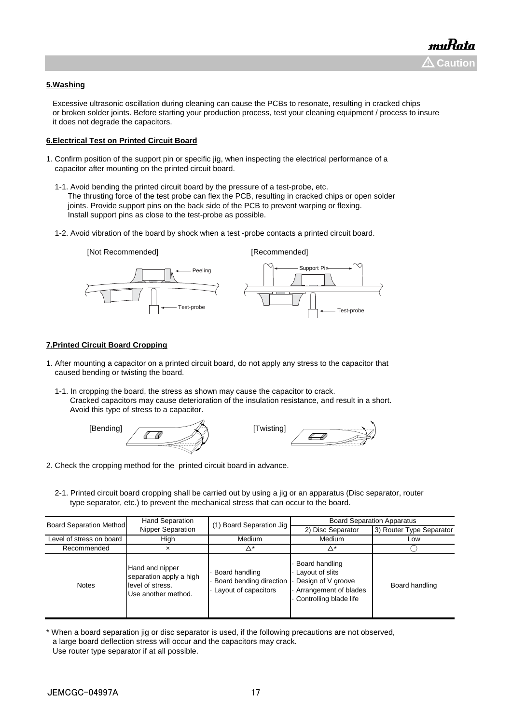#### **5.Washing**

 Excessive ultrasonic oscillation during cleaning can cause the PCBs to resonate, resulting in cracked chips or broken solder joints. Before starting your production process, test your cleaning equipment / process to insure it does not degrade the capacitors.

#### **6.Electrical Test on Printed Circuit Board**

- 1. Confirm position of the support pin or specific jig, when inspecting the electrical performance of a capacitor after mounting on the printed circuit board.
	- 1-1. Avoid bending the printed circuit board by the pressure of a test-probe, etc. The thrusting force of the test probe can flex the PCB, resulting in cracked chips or open solder joints. Provide support pins on the back side of the PCB to prevent warping or flexing. Install support pins as close to the test-probe as possible.
	- 1-2. Avoid vibration of the board by shock when a test -probe contacts a printed circuit board.



#### **7.Printed Circuit Board Cropping**

- 1. After mounting a capacitor on a printed circuit board, do not apply any stress to the capacitor that caused bending or twisting the board.
	- 1-1. In cropping the board, the stress as shown may cause the capacitor to crack. Cracked capacitors may cause deterioration of the insulation resistance, and result in a short. Avoid this type of stress to a capacitor.





- 2. Check the cropping method for the printed circuit board in advance.
	- 2-1. Printed circuit board cropping shall be carried out by using a jig or an apparatus (Disc separator, router type separator, etc.) to prevent the mechanical stress that can occur to the board.

| <b>Board Separation Method</b> | <b>Hand Separation</b>                                                                                                                                     | (1) Board Separation Jig | <b>Board Separation Apparatus</b>                                                                          |                          |  |
|--------------------------------|------------------------------------------------------------------------------------------------------------------------------------------------------------|--------------------------|------------------------------------------------------------------------------------------------------------|--------------------------|--|
|                                | Nipper Separation                                                                                                                                          |                          | 2) Disc Separator                                                                                          | 3) Router Type Separator |  |
| Level of stress on board       | High                                                                                                                                                       | Medium                   | Medium                                                                                                     | Low                      |  |
| Recommended                    | Δ*<br>Δ*<br>×                                                                                                                                              |                          |                                                                                                            |                          |  |
| <b>Notes</b>                   | Hand and nipper<br>Board handling<br>separation apply a high<br>Board bending direction<br>level of stress.<br>Layout of capacitors<br>Use another method. |                          | Board handling<br>Layout of slits<br>Design of V groove<br>Arrangement of blades<br>Controlling blade life | Board handling           |  |

<sup>\*</sup> When a board separation jig or disc separator is used, if the following precautions are not observed, a large board deflection stress will occur and the capacitors may crack. Use router type separator if at all possible.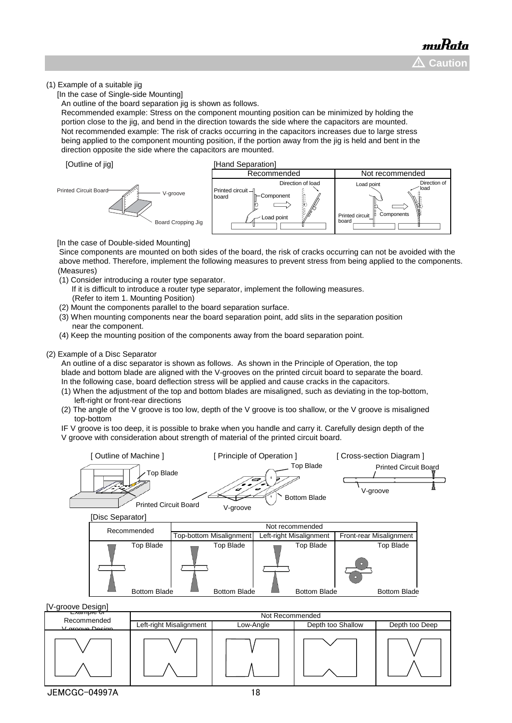#### (1) Example of a suitable jig

[In the case of Single-side Mounting]

An outline of the board separation jig is shown as follows.

 Recommended example: Stress on the component mounting position can be minimized by holding the portion close to the jig, and bend in the direction towards the side where the capacitors are mounted. Not recommended example: The risk of cracks occurring in the capacitors increases due to large stress being applied to the component mounting position, if the portion away from the jig is held and bent in the direction opposite the side where the capacitors are mounted.





[In the case of Double-sided Mounting]

 Since components are mounted on both sides of the board, the risk of cracks occurring can not be avoided with the above method. Therefore, implement the following measures to prevent stress from being applied to the components. (Measures)

- (1) Consider introducing a router type separator.
	- If it is difficult to introduce a router type separator, implement the following measures. (Refer to item 1. Mounting Position)
- (2) Mount the components parallel to the board separation surface.
- (3) When mounting components near the board separation point, add slits in the separation position near the component.
- (4) Keep the mounting position of the components away from the board separation point.

#### (2) Example of a Disc Separator

 An outline of a disc separator is shown as follows. As shown in the Principle of Operation, the top blade and bottom blade are aligned with the V-grooves on the printed circuit board to separate the board. In the following case, board deflection stress will be applied and cause cracks in the capacitors.

- (1) When the adjustment of the top and bottom blades are misaligned, such as deviating in the top-bottom, left-right or front-rear directions
- (2) The angle of the V groove is too low, depth of the V groove is too shallow, or the V groove is misaligned top-bottom

 IF V groove is too deep, it is possible to brake when you handle and carry it. Carefully design depth of the V groove with consideration about strength of material of the printed circuit board.

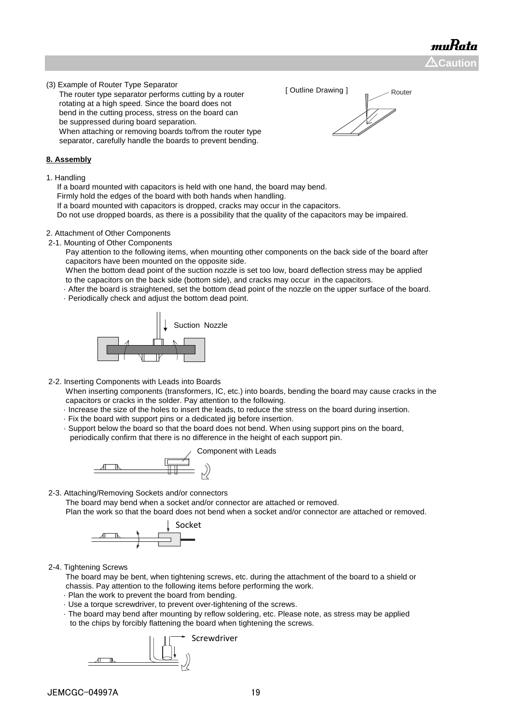muRata  $\Delta$ Caution

(3) Example of Router Type Separator

 The router type separator performs cutting by a router rotating at a high speed. Since the board does not bend in the cutting process, stress on the board can be suppressed during board separation. When attaching or removing boards to/from the router type separator, carefully handle the boards to prevent bending.

#### **8. Assembly**

1. Handling

 If a board mounted with capacitors is held with one hand, the board may bend. Firmly hold the edges of the board with both hands when handling.

If a board mounted with capacitors is dropped, cracks may occur in the capacitors.

Do not use dropped boards, as there is a possibility that the quality of the capacitors may be impaired.

#### 2. Attachment of Other Components

2-1. Mounting of Other Components

 Pay attention to the following items, when mounting other components on the back side of the board after capacitors have been mounted on the opposite side.

 When the bottom dead point of the suction nozzle is set too low, board deflection stress may be applied to the capacitors on the back side (bottom side), and cracks may occur in the capacitors.

· After the board is straightened, set the bottom dead point of the nozzle on the upper surface of the board.

· Periodically check and adjust the bottom dead point.



2-2. Inserting Components with Leads into Boards

 When inserting components (transformers, IC, etc.) into boards, bending the board may cause cracks in the capacitors or cracks in the solder. Pay attention to the following.

- · Increase the size of the holes to insert the leads, to reduce the stress on the board during insertion.
- · Fix the board with support pins or a dedicated jig before insertion.
- · Support below the board so that the board does not bend. When using support pins on the board, periodically confirm that there is no difference in the height of each support pin.



2-3. Attaching/Removing Sockets and/or connectors

The board may bend when a socket and/or connector are attached or removed.

Plan the work so that the board does not bend when a socket and/or connector are attached or removed.



2-4. Tightening Screws

 The board may be bent, when tightening screws, etc. during the attachment of the board to a shield or chassis. Pay attention to the following items before performing the work.

- · Plan the work to prevent the board from bending.
- · Use a torque screwdriver, to prevent over-tightening of the screws.
- · The board may bend after mounting by reflow soldering, etc. Please note, as stress may be applied to the chips by forcibly flattening the board when tightening the screws.





[ Outline Drawing ] Router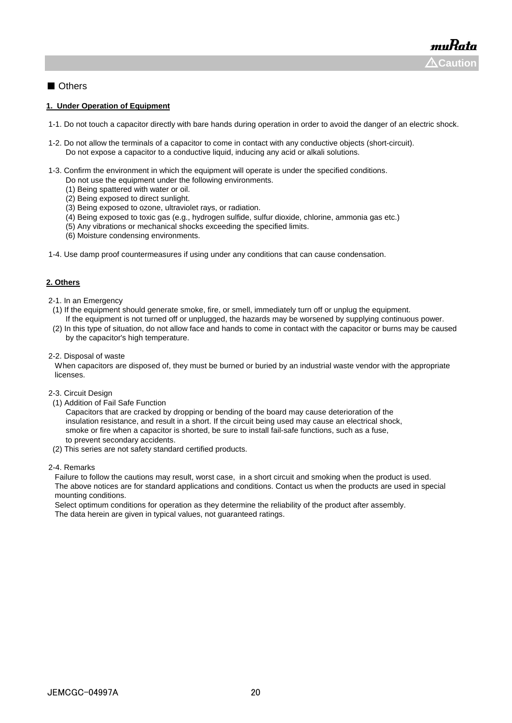### ■ Others

#### **1. Under Operation of Equipment**

- 1-1. Do not touch a capacitor directly with bare hands during operation in order to avoid the danger of an electric shock.
- 1-2. Do not allow the terminals of a capacitor to come in contact with any conductive objects (short-circuit). Do not expose a capacitor to a conductive liquid, inducing any acid or alkali solutions.
- 1-3. Confirm the environment in which the equipment will operate is under the specified conditions.
	- Do not use the equipment under the following environments.
	- (1) Being spattered with water or oil.
	- (2) Being exposed to direct sunlight.
	- (3) Being exposed to ozone, ultraviolet rays, or radiation.
	- (4) Being exposed to toxic gas (e.g., hydrogen sulfide, sulfur dioxide, chlorine, ammonia gas etc.)
	- (5) Any vibrations or mechanical shocks exceeding the specified limits.
	- (6) Moisture condensing environments.
- 1-4. Use damp proof countermeasures if using under any conditions that can cause condensation.

#### **2. Others**

- 2-1. In an Emergency
- (1) If the equipment should generate smoke, fire, or smell, immediately turn off or unplug the equipment. If the equipment is not turned off or unplugged, the hazards may be worsened by supplying continuous power.
- (2) In this type of situation, do not allow face and hands to come in contact with the capacitor or burns may be caused by the capacitor's high temperature.
- 2-2. Disposal of waste

 When capacitors are disposed of, they must be burned or buried by an industrial waste vendor with the appropriate licenses.

- 2-3. Circuit Design
- (1) Addition of Fail Safe Function

 Capacitors that are cracked by dropping or bending of the board may cause deterioration of the insulation resistance, and result in a short. If the circuit being used may cause an electrical shock, smoke or fire when a capacitor is shorted, be sure to install fail-safe functions, such as a fuse, to prevent secondary accidents.

(2) This series are not safety standard certified products.

#### 2-4. Remarks

 Failure to follow the cautions may result, worst case, in a short circuit and smoking when the product is used. The above notices are for standard applications and conditions. Contact us when the products are used in special mounting conditions.

 Select optimum conditions for operation as they determine the reliability of the product after assembly. The data herein are given in typical values, not guaranteed ratings.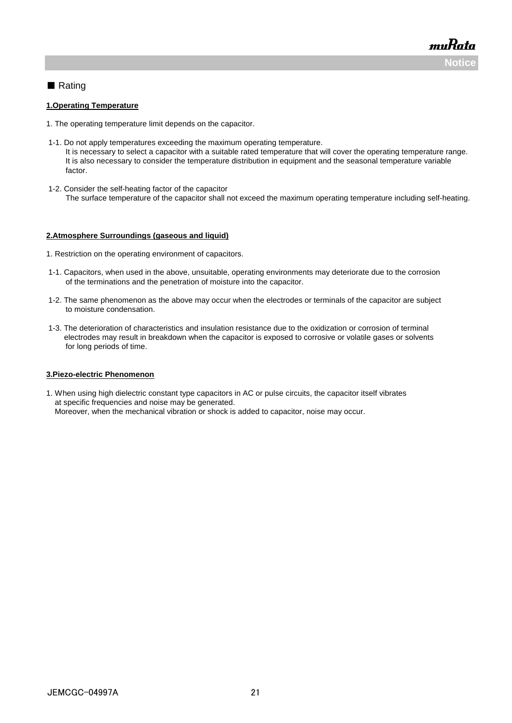muRata **Noti** 

### ■ Rating

#### **1.Operating Temperature**

- 1. The operating temperature limit depends on the capacitor.
- 1-1. Do not apply temperatures exceeding the maximum operating temperature. It is necessary to select a capacitor with a suitable rated temperature that will cover the operating temperature range. It is also necessary to consider the temperature distribution in equipment and the seasonal temperature variable factor.
- 1-2. Consider the self-heating factor of the capacitor The surface temperature of the capacitor shall not exceed the maximum operating temperature including self-heating.

#### **2.Atmosphere Surroundings (gaseous and liquid)**

- 1. Restriction on the operating environment of capacitors.
- 1-1. Capacitors, when used in the above, unsuitable, operating environments may deteriorate due to the corrosion of the terminations and the penetration of moisture into the capacitor.
- 1-2. The same phenomenon as the above may occur when the electrodes or terminals of the capacitor are subject to moisture condensation.
- 1-3. The deterioration of characteristics and insulation resistance due to the oxidization or corrosion of terminal electrodes may result in breakdown when the capacitor is exposed to corrosive or volatile gases or solvents for long periods of time.

#### **3.Piezo-electric Phenomenon**

1. When using high dielectric constant type capacitors in AC or pulse circuits, the capacitor itself vibrates at specific frequencies and noise may be generated. Moreover, when the mechanical vibration or shock is added to capacitor, noise may occur.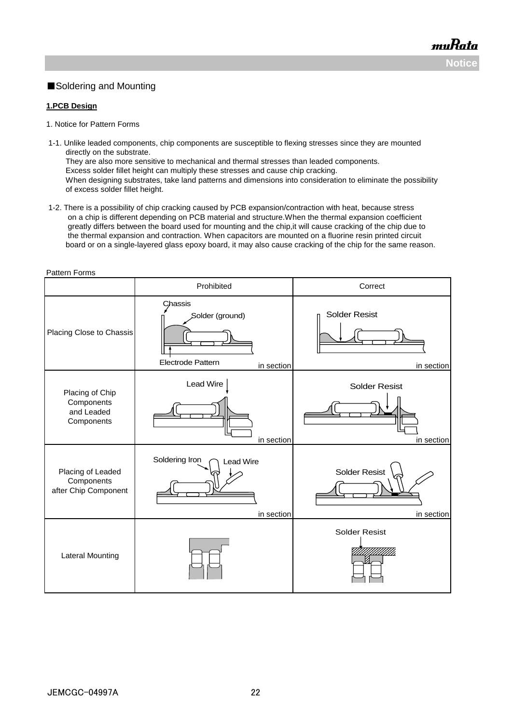### ■Soldering and Mounting

#### **1.PCB Design**

- 1. Notice for Pattern Forms
- 1-1. Unlike leaded components, chip components are susceptible to flexing stresses since they are mounted directly on the substrate. They are also more sensitive to mechanical and thermal stresses than leaded components. Excess solder fillet height can multiply these stresses and cause chip cracking. When designing substrates, take land patterns and dimensions into consideration to eliminate the possibility of excess solder fillet height.
- 1-2. There is a possibility of chip cracking caused by PCB expansion/contraction with heat, because stress on a chip is different depending on PCB material and structure.When the thermal expansion coefficient greatly differs between the board used for mounting and the chip,it will cause cracking of the chip due to the thermal expansion and contraction. When capacitors are mounted on a fluorine resin printed circuit board or on a single-layered glass epoxy board, it may also cause cracking of the chip for the same reason.

| Pattern Forms                                             |                                                               |                                    |  |  |  |
|-----------------------------------------------------------|---------------------------------------------------------------|------------------------------------|--|--|--|
|                                                           | Prohibited                                                    | Correct                            |  |  |  |
| Placing Close to Chassis                                  | Chassis<br>Solder (ground)<br>Electrode Pattern<br>in section | <b>Solder Resist</b><br>in section |  |  |  |
| Placing of Chip<br>Components<br>and Leaded<br>Components | Lead Wire<br>in section                                       | <b>Solder Resist</b><br>in section |  |  |  |
| Placing of Leaded<br>Components<br>after Chip Component   | Soldering Iron<br><b>Lead Wire</b><br>in section              | <b>Solder Resist</b><br>in section |  |  |  |
| <b>Lateral Mounting</b>                                   |                                                               | <b>Solder Resist</b>               |  |  |  |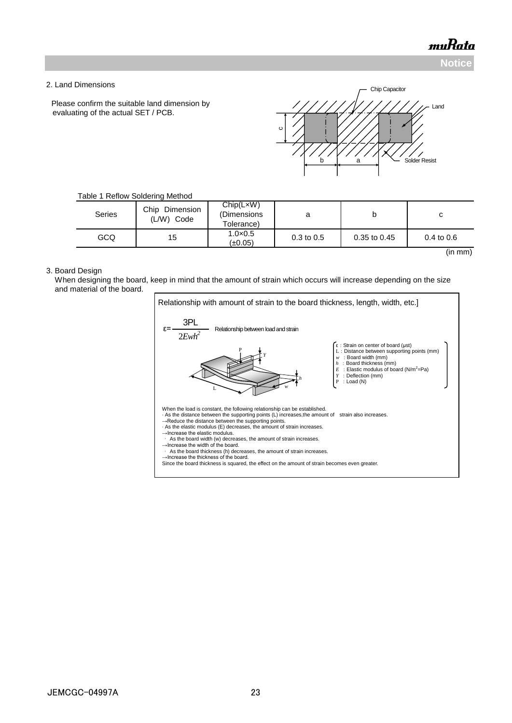**Notice**

#### 2. Land Dimensions

Please confirm the suitable land dimension by evaluating of the actual SET / PCB.



#### Table 1 Reflow Soldering Method

| <b>Series</b> | Chip<br>Dimension<br>(L/W)<br>Code | Chip(LxW)<br>(Dimensions<br>Tolerance) | a                     | D            | u              |
|---------------|------------------------------------|----------------------------------------|-----------------------|--------------|----------------|
| GCQ           | 15                                 | $1.0 \times 0.5$<br>$(\pm 0.05)$       | $0.3 \text{ to } 0.5$ | 0.35 to 0.45 | $0.4$ to $0.6$ |
|               |                                    |                                        |                       |              | (in mm)        |

#### 3. Board Design

 When designing the board, keep in mind that the amount of strain which occurs will increase depending on the size and material of the board.

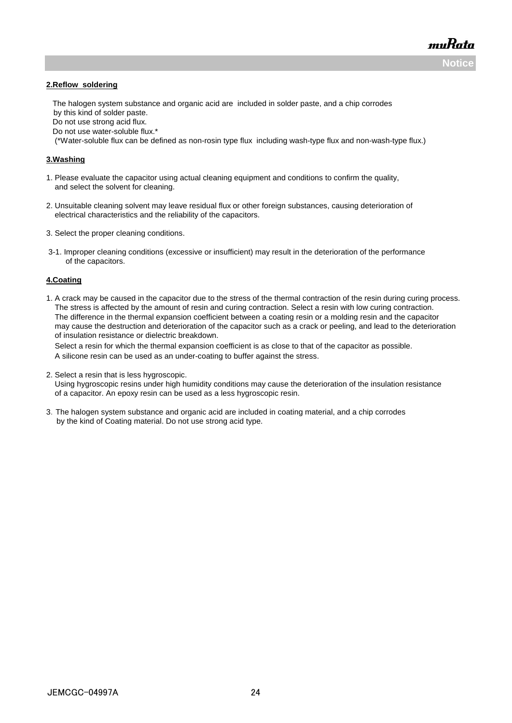**Notice**

muRata

#### **2.Reflow soldering**

 The halogen system substance and organic acid are included in solder paste, and a chip corrodes by this kind of solder paste.

Do not use strong acid flux.

Do not use water-soluble flux.\*

(\*Water-soluble flux can be defined as non-rosin type flux including wash-type flux and non-wash-type flux.)

#### **3.Washing**

- 1. Please evaluate the capacitor using actual cleaning equipment and conditions to confirm the quality, and select the solvent for cleaning.
- 2. Unsuitable cleaning solvent may leave residual flux or other foreign substances, causing deterioration of electrical characteristics and the reliability of the capacitors.
- 3. Select the proper cleaning conditions.
- 3-1. Improper cleaning conditions (excessive or insufficient) may result in the deterioration of the performance of the capacitors.

#### **4.Coating**

1. A crack may be caused in the capacitor due to the stress of the thermal contraction of the resin during curing process. The stress is affected by the amount of resin and curing contraction. Select a resin with low curing contraction. The difference in the thermal expansion coefficient between a coating resin or a molding resin and the capacitor may cause the destruction and deterioration of the capacitor such as a crack or peeling, and lead to the deterioration of insulation resistance or dielectric breakdown.

 Select a resin for which the thermal expansion coefficient is as close to that of the capacitor as possible. A silicone resin can be used as an under-coating to buffer against the stress.

2. Select a resin that is less hygroscopic.

 Using hygroscopic resins under high humidity conditions may cause the deterioration of the insulation resistance of a capacitor. An epoxy resin can be used as a less hygroscopic resin.

3.The halogen system substance and organic acid are included in coating material, and a chip corrodes by the kind of Coating material. Do not use strong acid type.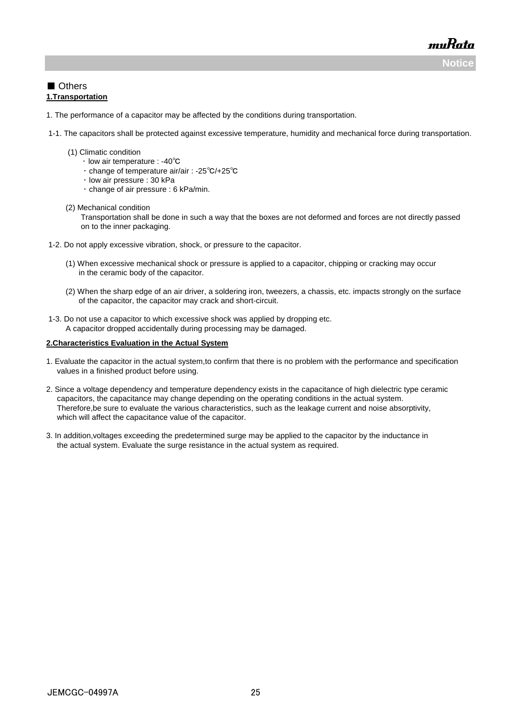**Notice**

muRata

### ■ Others **1.Transportation**

- 1. The performance of a capacitor may be affected by the conditions during transportation.
- 1-1. The capacitors shall be protected against excessive temperature, humidity and mechanical force during transportation.
	- (1) Climatic condition
		- ・ low air temperature : -40℃
		- ・ change of temperature air/air : -25℃/+25℃
		- ・ low air pressure : 30 kPa
			- ・ change of air pressure : 6 kPa/min.
	- (2) Mechanical condition

 Transportation shall be done in such a way that the boxes are not deformed and forces are not directly passed on to the inner packaging.

- 1-2. Do not apply excessive vibration, shock, or pressure to the capacitor.
	- (1) When excessive mechanical shock or pressure is applied to a capacitor, chipping or cracking may occur in the ceramic body of the capacitor.
	- (2) When the sharp edge of an air driver, a soldering iron, tweezers, a chassis, etc. impacts strongly on the surface of the capacitor, the capacitor may crack and short-circuit.
- 1-3. Do not use a capacitor to which excessive shock was applied by dropping etc. A capacitor dropped accidentally during processing may be damaged.

#### **2.Characteristics Evaluation in the Actual System**

- 1. Evaluate the capacitor in the actual system,to confirm that there is no problem with the performance and specification values in a finished product before using.
- 2. Since a voltage dependency and temperature dependency exists in the capacitance of high dielectric type ceramic capacitors, the capacitance may change depending on the operating conditions in the actual system. Therefore,be sure to evaluate the various characteristics, such as the leakage current and noise absorptivity, which will affect the capacitance value of the capacitor.
- 3. In addition,voltages exceeding the predetermined surge may be applied to the capacitor by the inductance in the actual system. Evaluate the surge resistance in the actual system as required.